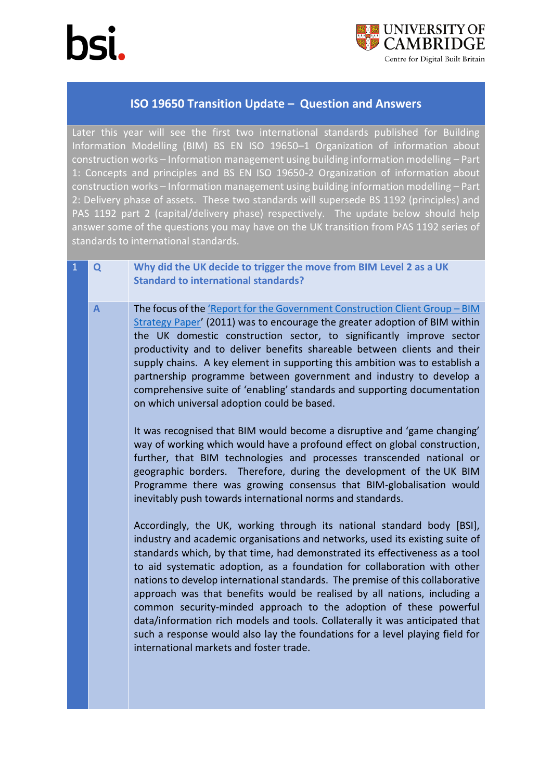

## **ISO 19650 Transition Update – Question and Answers**

Later this year will see the first two international standards published for Building Information Modelling (BIM) BS EN ISO 19650–1 Organization of information about construction works – Information management using building information modelling – Part 1: Concepts and principles and BS EN ISO 19650-2 Organization of information about construction works – Information management using building information modelling – Part 2: Delivery phase of assets. These two standards will supersede BS 1192 (principles) and PAS 1192 part 2 (capital/delivery phase) respectively. The update below should help answer some of the questions you may have on the UK transition from PAS 1192 series of standards to international standards.

- 1 **Q Why did the UK decide to trigger the move from BIM Level 2 as a UK Standard to international standards?**
	- **A** The focus of the ['Report for the Government Construction Client Group –](https://www.cdbb.cam.ac.uk/news/2011BIMStrategyPaper) BIM [Strategy Paper](https://www.cdbb.cam.ac.uk/news/2011BIMStrategyPaper)' (2011) was to encourage the greater adoption of BIM within the UK domestic construction sector, to significantly improve sector productivity and to deliver benefits shareable between clients and their supply chains. A key element in supporting this ambition was to establish a partnership programme between government and industry to develop a comprehensive suite of 'enabling' standards and supporting documentation on which universal adoption could be based.

It was recognised that BIM would become a disruptive and 'game changing' way of working which would have a profound effect on global construction, further, that BIM technologies and processes transcended national or geographic borders. Therefore, during the development of the UK BIM Programme there was growing consensus that BIM-globalisation would inevitably push towards international norms and standards.

Accordingly, the UK, working through its national standard body [BSI], industry and academic organisations and networks, used its existing suite of standards which, by that time, had demonstrated its effectiveness as a tool to aid systematic adoption, as a foundation for collaboration with other nations to develop international standards. The premise of this collaborative approach was that benefits would be realised by all nations, including a common security-minded approach to the adoption of these powerful data/information rich models and tools. Collaterally it was anticipated that such a response would also lay the foundations for a level playing field for international markets and foster trade.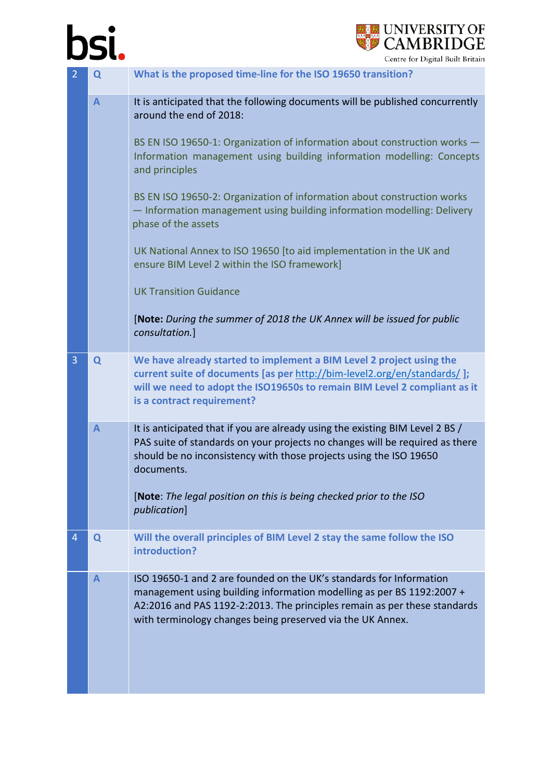## bsi.



| Q              | What is the proposed time-line for the ISO 19650 transition?                                                                                                                                                                                                                            |
|----------------|-----------------------------------------------------------------------------------------------------------------------------------------------------------------------------------------------------------------------------------------------------------------------------------------|
| $\overline{A}$ | It is anticipated that the following documents will be published concurrently<br>around the end of 2018:<br>BS EN ISO 19650-1: Organization of information about construction works -                                                                                                   |
|                | Information management using building information modelling: Concepts<br>and principles                                                                                                                                                                                                 |
|                | BS EN ISO 19650-2: Organization of information about construction works<br>- Information management using building information modelling: Delivery<br>phase of the assets                                                                                                               |
|                | UK National Annex to ISO 19650 [to aid implementation in the UK and<br>ensure BIM Level 2 within the ISO framework]                                                                                                                                                                     |
|                | <b>UK Transition Guidance</b>                                                                                                                                                                                                                                                           |
|                | [Note: During the summer of 2018 the UK Annex will be issued for public<br>consultation.]                                                                                                                                                                                               |
| Q              | We have already started to implement a BIM Level 2 project using the<br>current suite of documents [as per http://bim-level2.org/en/standards/];<br>will we need to adopt the ISO19650s to remain BIM Level 2 compliant as it<br>is a contract requirement?                             |
| $\mathbf{A}$   | It is anticipated that if you are already using the existing BIM Level 2 BS /<br>PAS suite of standards on your projects no changes will be required as there<br>should be no inconsistency with those projects using the ISO 19650<br>documents.                                       |
|                | [Note: The legal position on this is being checked prior to the ISO<br>publication]                                                                                                                                                                                                     |
| Q              | Will the overall principles of BIM Level 2 stay the same follow the ISO<br>introduction?                                                                                                                                                                                                |
| $\mathsf{A}$   | ISO 19650-1 and 2 are founded on the UK's standards for Information<br>management using building information modelling as per BS 1192:2007 +<br>A2:2016 and PAS 1192-2:2013. The principles remain as per these standards<br>with terminology changes being preserved via the UK Annex. |
|                |                                                                                                                                                                                                                                                                                         |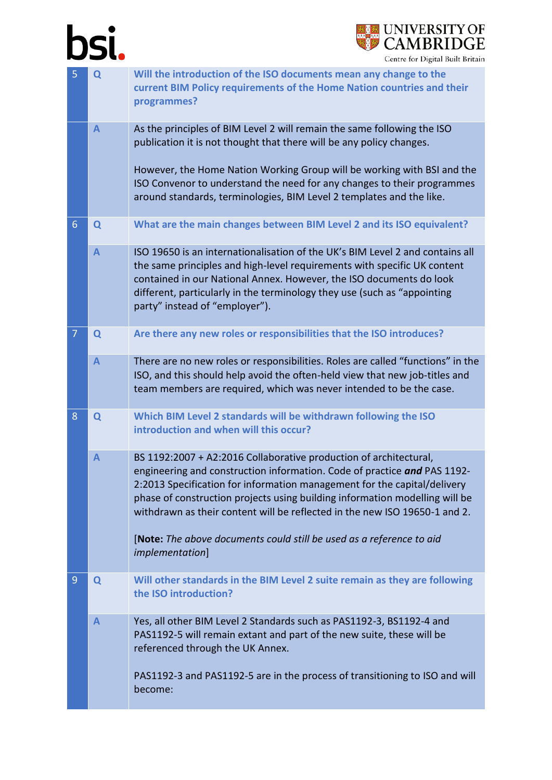## bsi.



| 5              | Q              | Will the introduction of the ISO documents mean any change to the<br>current BIM Policy requirements of the Home Nation countries and their<br>programmes?                                                                                                                                                                                                                                                                                                                               |
|----------------|----------------|------------------------------------------------------------------------------------------------------------------------------------------------------------------------------------------------------------------------------------------------------------------------------------------------------------------------------------------------------------------------------------------------------------------------------------------------------------------------------------------|
|                | $\mathsf{A}$   | As the principles of BIM Level 2 will remain the same following the ISO<br>publication it is not thought that there will be any policy changes.<br>However, the Home Nation Working Group will be working with BSI and the<br>ISO Convenor to understand the need for any changes to their programmes<br>around standards, terminologies, BIM Level 2 templates and the like.                                                                                                            |
| $6\phantom{1}$ | Q              | What are the main changes between BIM Level 2 and its ISO equivalent?                                                                                                                                                                                                                                                                                                                                                                                                                    |
|                | $\overline{A}$ | ISO 19650 is an internationalisation of the UK's BIM Level 2 and contains all<br>the same principles and high-level requirements with specific UK content<br>contained in our National Annex. However, the ISO documents do look<br>different, particularly in the terminology they use (such as "appointing<br>party" instead of "employer").                                                                                                                                           |
| 7              | Q              | Are there any new roles or responsibilities that the ISO introduces?                                                                                                                                                                                                                                                                                                                                                                                                                     |
|                | $\overline{A}$ | There are no new roles or responsibilities. Roles are called "functions" in the<br>ISO, and this should help avoid the often-held view that new job-titles and<br>team members are required, which was never intended to be the case.                                                                                                                                                                                                                                                    |
| 8              | Q              | Which BIM Level 2 standards will be withdrawn following the ISO<br>introduction and when will this occur?                                                                                                                                                                                                                                                                                                                                                                                |
|                | $\mathsf{A}$   | BS 1192:2007 + A2:2016 Collaborative production of architectural,<br>engineering and construction information. Code of practice and PAS 1192-<br>2:2013 Specification for information management for the capital/delivery<br>phase of construction projects using building information modelling will be<br>withdrawn as their content will be reflected in the new ISO 19650-1 and 2.<br>[Note: The above documents could still be used as a reference to aid<br><i>implementation]</i> |
| 9              | Q              | Will other standards in the BIM Level 2 suite remain as they are following<br>the ISO introduction?                                                                                                                                                                                                                                                                                                                                                                                      |
|                | $\mathbf{A}$   | Yes, all other BIM Level 2 Standards such as PAS1192-3, BS1192-4 and<br>PAS1192-5 will remain extant and part of the new suite, these will be<br>referenced through the UK Annex.<br>PAS1192-3 and PAS1192-5 are in the process of transitioning to ISO and will<br>become:                                                                                                                                                                                                              |